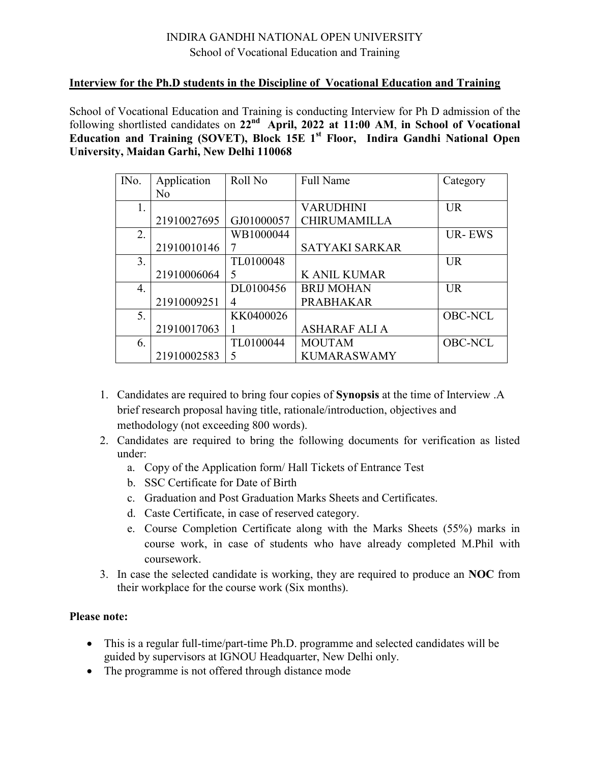## INDIRA GANDHI NATIONAL OPEN UNIVERSITY School of Vocational Education and Training

## **Interview for the Ph.D students in the Discipline of Vocational Education and Training**

School of Vocational Education and Training is conducting Interview for Ph D admission of the following shortlisted candidates on **22nd April, 2022 at 11:00 AM**, **in School of Vocational Education and Training (SOVET), Block 15E 1 st Floor, Indira Gandhi National Open University, Maidan Garhi, New Delhi 110068**

| IN <sub>0</sub> . | Application    | Roll No    | <b>Full Name</b>      | Category       |
|-------------------|----------------|------------|-----------------------|----------------|
|                   | N <sub>0</sub> |            |                       |                |
| $\mathbf{I}$ .    |                |            | <b>VARUDHINI</b>      | $_{\text{UR}}$ |
|                   | 21910027695    | GJ01000057 | <b>CHIRUMAMILLA</b>   |                |
| 2.                |                | WB1000044  |                       | <b>UR-EWS</b>  |
|                   | 21910010146    |            | <b>SATYAKI SARKAR</b> |                |
| 3.                |                | TL0100048  |                       | <b>UR</b>      |
|                   | 21910006064    | 5          | <b>K ANIL KUMAR</b>   |                |
| 4.                |                | DL0100456  | <b>BRIJ MOHAN</b>     | <b>UR</b>      |
|                   | 21910009251    | 4          | <b>PRABHAKAR</b>      |                |
| 5.                |                | KK0400026  |                       | <b>OBC-NCL</b> |
|                   | 21910017063    |            | <b>ASHARAF ALI A</b>  |                |
| 6.                |                | TL0100044  | <b>MOUTAM</b>         | <b>OBC-NCL</b> |
|                   | 21910002583    | 5          | <b>KUMARASWAMY</b>    |                |

- 1. Candidates are required to bring four copies of **Synopsis** at the time of Interview .A brief research proposal having title, rationale/introduction, objectives and methodology (not exceeding 800 words).
- 2. Candidates are required to bring the following documents for verification as listed under:
	- a. Copy of the Application form/ Hall Tickets of Entrance Test
	- b. SSC Certificate for Date of Birth
	- c. Graduation and Post Graduation Marks Sheets and Certificates.
	- d. Caste Certificate, in case of reserved category.
	- e. Course Completion Certificate along with the Marks Sheets (55%) marks in course work, in case of students who have already completed M.Phil with coursework.
- 3. In case the selected candidate is working, they are required to produce an **NOC** from their workplace for the course work (Six months).

## **Please note:**

- This is a regular full-time/part-time Ph.D. programme and selected candidates will be guided by supervisors at IGNOU Headquarter, New Delhi only.
- The programme is not offered through distance mode